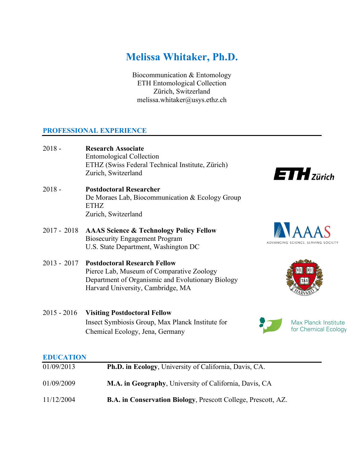# **Melissa Whitaker, Ph.D.**

Biocommunication & Entomology ETH Entomological Collection Zürich, Switzerland melissa.whitaker@usys.ethz.ch

## **PROFESSIONAL EXPERIENCE**

- 2018 **Research Associate** Entomological Collection ETHZ (Swiss Federal Technical Institute, Zürich) Zurich, Switzerland
- 2018 **Postdoctoral Researcher** De Moraes Lab, Biocommunication & Ecology Group ETHZ Zurich, Switzerland
- 2017 2018 **AAAS Science & Technology Policy Fellow**  Biosecurity Engagement Program U.S. State Department, Washington DC

2015 - 2016 **Visiting Postdoctoral Fellow**

2013 - 2017 **Postdoctoral Research Fellow**  Pierce Lab, Museum of Comparative Zoology Department of Organismic and Evolutionary Biology Harvard University, Cambridge, MA

Chemical Ecology, Jena, Germany



ADVANCING SCIENCE, SERVING SOCIETY

 $ETH$ zürich





Max Planck Institute for Chemical Ecology

## **EDUCATION**

| 01/09/2013 | Ph.D. in Ecology, University of California, Davis, CA.               |
|------------|----------------------------------------------------------------------|
| 01/09/2009 | M.A. in Geography, University of California, Davis, CA               |
| 11/12/2004 | <b>B.A. in Conservation Biology, Prescott College, Prescott, AZ.</b> |

Insect Symbiosis Group, Max Planck Institute for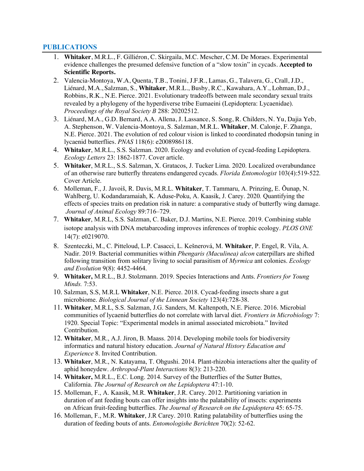#### **PUBLICATIONS**

- 1. **Whitaker**, M.R.L., F. Gilliéron, C. Skirgaila, M.C. Mescher, C.M. De Moraes. Experimental evidence challenges the presumed defensive function of a "slow toxin" in cycads. **Accepted to Scientific Reports.**
- 2. Valencia-Montoya, W.A, Quenta, T.B., Tonini, J.F.R., Lamas, G., Talavera, G., Crall, J.D., Liénard, M.A., Salzman, S., **Whitaker**, M.R.L., Busby, R.C., Kawahara, A.Y., Lohman, D.J., Robbins, R.K., N.E. Pierce. 2021. Evolutionary tradeoffs between male secondary sexual traits revealed by a phylogeny of the hyperdiverse tribe Eumaeini (Lepidoptera: Lycaenidae). *Proceedings of the Royal Society B* 288: 20202512.
- 3. Liénard, M.A., G.D. Bernard, A.A. Allena, J. Lassance, S. Song, R. Childers, N. Yu, Dajia Yeb, A. Stephenson, W. Valencia-Montoya, S. Salzman, M.R.L. **Whitaker**, M. Calonje, F. Zhanga, N.E. Pierce. 2021. The evolution of red colour vision is linked to coordinated rhodopsin tuning in lycaenid butterflies. *PNAS* 118(6): e2008986118.
- 4. **Whitaker**, M.R.L., S.S. Salzman. 2020. Ecology and evolution of cycad-feeding Lepidoptera. *Ecology Letters* 23: 1862-1877. Cover article.
- 5. **Whitaker**, M.R.L., S.S. Salzman, X. Gratacos, J. Tucker Lima. 2020. Localized overabundance of an otherwise rare butterfly threatens endangered cycads. *Florida Entomologist* 103(4):519-522*.* Cover Article.
- 6. Molleman, F., J. Javoiš, R. Davis, M.R.L. **Whitaker**, T. Tammaru, A. Prinzing, E. Õunap, N. Wahlberg, U. Kodandaramaiah, K. Aduse-Poku, A. Kaasik, J. Carey. 2020*.* Quantifying the effects of species traits on predation risk in nature: a comparative study of butterfly wing damage. *Journal of Animal Ecology* 89:716–729.
- 7. **Whitaker**, M.R.L, S.S. Salzman, C. Baker, D.J. Martins, N.E. Pierce. 2019. Combining stable isotope analysis with DNA metabarcoding improves inferences of trophic ecology. *PLOS ONE* 14(7): e0219070.
- 8. Szenteczki, M., C. Pitteloud, L.P. Casacci, L. Kešnerová, M. **Whitaker**, P. Engel, R. Vila, A. Nadir. 2019*.* Bacterial communities within *Phengaris (Maculinea) alcon* caterpillars are shifted following transition from solitary living to social parasitism of *Myrmica* ant colonies. *Ecology and Evolution* 9(8): 4452-4464.
- 9. **Whitaker,** M.R.L., B.J. Stolzmann. 2019. Species Interactions and Ants. *Frontiers for Young Minds.* 7:53.
- 10. Salzman, S.S, M.R.L **Whitaker**, N.E. Pierce. 2018. Cycad-feeding insects share a gut microbiome. *Biological Journal of the Linnean Society* 123(4):728-38.
- 11. **Whitaker**, M.R.L, S.S. Salzman, J.G. Sanders, M. Kaltenpoth, N.E. Pierce. 2016. Microbial communities of lycaenid butterflies do not correlate with larval diet. *Frontiers in Microbiology* 7: 1920. Special Topic: "Experimental models in animal associated microbiota." Invited Contribution.
- 12. **Whitaker**, M.R., A.J. Jiron, B. Maass. 2014. Developing mobile tools for biodiversity informatics and natural history education. *Journal of Natural History Education and Experience* 8. Invited Contribution.
- 13. **Whitaker**, M.R., N. Katayama, T. Ohgushi. 2014. Plant-rhizobia interactions alter the quality of aphid honeydew. *Arthropod-Plant Interactions* 8(3): 213-220.
- 14. **Whitaker,** M.R.L., E.C. Long. 2014. Survey of the Butterflies of the Sutter Buttes, California. *The Journal of Research on the Lepidoptera* 47:1-10.
- 15. Molleman, F., A. Kaasik, M.R. **Whitaker**, J.R. Carey. 2012. Partitioning variation in duration of ant feeding bouts can offer insights into the palatability of insects: experiments on African fruit-feeding butterflies. *The Journal of Research on the Lepidoptera* 45: 65-75.
- 16. Molleman, F., M.R. **Whitaker**, J.R Carey. 2010. Rating palatability of butterflies using the duration of feeding bouts of ants. *Entomologishe Berichten* 70(2): 52-62.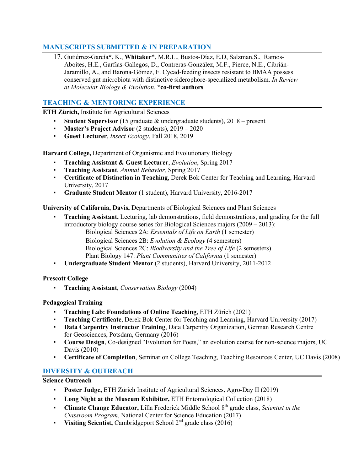# **MANUSCRIPTS SUBMITTED & IN PREPARATION**

17. Gutiérrez-García**\***, K., **Whitaker**\*, M.R.L., Bustos-Díaz, E.D, Salzman,S., Ramos-Aboites, H.E., Garfias-Gallegos, D., Contreras-González, M.F., Pierce, N.E., Cibrián-Jaramillo, A., and Barona-Gómez, F. Cycad-feeding insects resistant to BMAA possess conserved gut microbiota with distinctive siderophore-specialized metabolism. *In Review at Molecular Biology & Evolution.* **\*co-first authors**

# **TEACHING & MENTORING EXPERIENCE**

**ETH Zürich,** Institute for Agricultural Sciences

- **Student Supervisor** (15 graduate & undergraduate students), 2018 present
- **Master's Project Advisor** (2 students), 2019 2020
- **Guest Lecturer**, *Insect Ecology*, Fall 2018, 2019

**Harvard College,** Department of Organismic and Evolutionary Biology

- **Teaching Assistant & Guest Lecturer**, *Evolution*, Spring 2017
- **Teaching Assistant**, *Animal Behavior,* Spring 2017
- **Certificate of Distinction in Teaching**, Derek Bok Center for Teaching and Learning, Harvard University, 2017
- **Graduate Student Mentor** (1 student), Harvard University, 2016-2017

**University of California, Davis,** Departments of Biological Sciences and Plant Sciences

- **Teaching Assistant.** Lecturing, lab demonstrations, field demonstrations, and grading for the full introductory biology course series for Biological Sciences majors (2009 – 2013):
	- Biological Sciences 2A: *Essentials of Life on Earth* (1 semester) Biological Sciences 2B: *Evolution & Ecology* (4 semesters) Biological Sciences 2C: *Biodiversity and the Tree of Life* (2 semesters) Plant Biology 147: *Plant Communities of California* (1 semester)
- **Undergraduate Student Mentor** (2 students), Harvard University, 2011-2012

## **Prescott College**

▪ **Teaching Assistant**, *Conservation Biology* (2004)

## **Pedagogical Training**

- **Teaching Lab: Foundations of Online Teaching**, ETH Zürich (2021)
- **Teaching Certificate**, Derek Bok Center for Teaching and Learning, Harvard University (2017)
- **Data Carpentry Instructor Training**, Data Carpentry Organization, German Research Centre for Geosciences, Potsdam, Germany (2016)
- **Course Design**, Co-designed "Evolution for Poets," an evolution course for non-science majors, UC Davis (2010)
- **Certificate of Completion**, Seminar on College Teaching, Teaching Resources Center, UC Davis (2008)

## **DIVERSITY & OUTREACH**

**Science Outreach**

- **Poster Judge,** ETH Zürich Institute of Agricultural Sciences, Agro-Day II (2019)
- **Long Night at the Museum Exhibitor,** ETH Entomological Collection (2018)
- **Climate Change Educator,** Lilla Frederick Middle School 8th grade class, *Scientist in the Classroom Program*, National Center for Science Education (2017)
- **Visiting Scientist,** Cambridgeport School 2<sup>nd</sup> grade class (2016)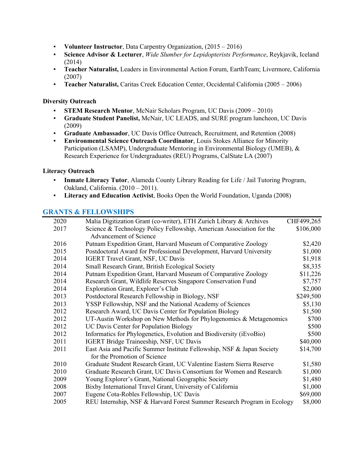- **Volunteer Instructor**, Data Carpentry Organization, (2015 2016)
- **Science Advisor & Lecturer**, *Wide Slumber for Lepidopterists Performance*, Reykjavik, Iceland (2014)
- **Teacher Naturalist,** Leaders in Environmental Action Forum, EarthTeam; Livermore, California (2007)
- **Teacher Naturalist,** Caritas Creek Education Center, Occidental California (2005 2006)

#### **Diversity Outreach**

- **STEM Research Mentor**, McNair Scholars Program, UC Davis (2009 2010)
- **Graduate Student Panelist,** McNair, UC LEADS, and SURE program luncheon, UC Davis (2009)
- **Graduate Ambassador**, UC Davis Office Outreach, Recruitment, and Retention (2008)
- **Environmental Science Outreach Coordinator**, Louis Stokes Alliance for Minority Participation (LSAMP), Undergraduate Mentoring in Environmental Biology (UMEB), & Research Experience for Undergraduates (REU) Programs, CalState LA (2007)

#### **Literacy Outreach**

- **Inmate Literacy Tutor**, Alameda County Library Reading for Life / Jail Tutoring Program, Oakland, California. (2010 – 2011).
- **Literacy and Education Activist**, Books Open the World Foundation, Uganda (2008)

## **GRANTS & FELLOWSHIPS**

| 2020 | Malia Digitization Grant (co-writer), ETH Zurich Library & Archives     | CHF499,265 |
|------|-------------------------------------------------------------------------|------------|
| 2017 | Science & Technology Policy Fellowship, American Association for the    | \$106,000  |
|      | Advancement of Science                                                  |            |
| 2016 | Putnam Expedition Grant, Harvard Museum of Comparative Zoology          | \$2,420    |
| 2015 | Postdoctoral Award for Professional Development, Harvard University     | \$1,000    |
| 2014 | <b>IGERT Travel Grant, NSF, UC Davis</b>                                | \$1,918    |
| 2014 | Small Research Grant, British Ecological Society                        | \$8,335    |
| 2014 | Putnam Expedition Grant, Harvard Museum of Comparative Zoology          | \$11,226   |
| 2014 | Research Grant, Wildlife Reserves Singapore Conservation Fund           | \$7,757    |
| 2014 | Exploration Grant, Explorer's Club                                      | \$2,000    |
| 2013 | Postdoctoral Research Fellowship in Biology, NSF                        | \$249,500  |
| 2013 | YSSP Fellowship, NSF and the National Academy of Sciences               | \$5,130    |
| 2012 | Research Award, UC Davis Center for Population Biology                  | \$1,500    |
| 2012 | UT-Austin Workshop on New Methods for Phylogenomics & Metagenomics      | \$700      |
| 2012 | <b>UC Davis Center for Population Biology</b>                           | \$500      |
| 2012 | Informatics for Phylogenetics, Evolution and Biodiversity (iEvoBio)     | \$500      |
| 2011 | IGERT Bridge Traineeship, NSF, UC Davis                                 | \$40,000   |
| 2011 | East Asia and Pacific Summer Institute Fellowship, NSF & Japan Society  | \$14,700   |
|      | for the Promotion of Science                                            |            |
| 2010 | Graduate Student Research Grant, UC Valentine Eastern Sierra Reserve    | \$1,580    |
| 2010 | Graduate Research Grant, UC Davis Consortium for Women and Research     | \$1,000    |
| 2009 | Young Explorer's Grant, National Geographic Society                     | \$1,480    |
| 2008 | Bixby International Travel Grant, University of California              | \$1,000    |
| 2007 | Eugene Cota-Robles Fellowship, UC Davis                                 | \$69,000   |
| 2005 | REU Internship, NSF & Harvard Forest Summer Research Program in Ecology | \$8,000    |